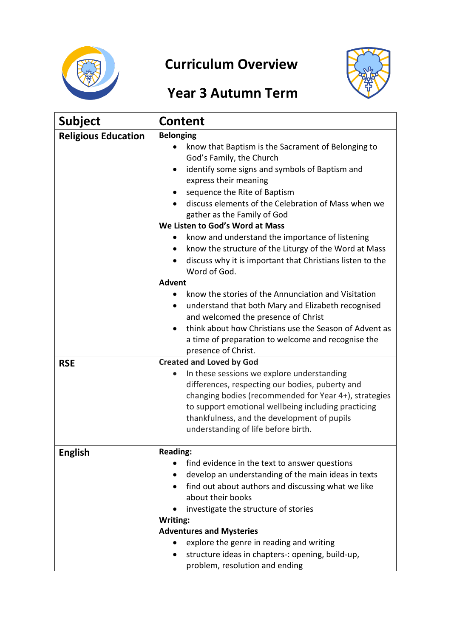

## **Curriculum Overview**



## **Year 3 Autumn Term**

| <b>Subject</b>             | <b>Content</b>                                                                                                                                                                                                                                                                                                                                                                                                                                                                                                                                                                                                                                                                                                                                                                                                                                           |
|----------------------------|----------------------------------------------------------------------------------------------------------------------------------------------------------------------------------------------------------------------------------------------------------------------------------------------------------------------------------------------------------------------------------------------------------------------------------------------------------------------------------------------------------------------------------------------------------------------------------------------------------------------------------------------------------------------------------------------------------------------------------------------------------------------------------------------------------------------------------------------------------|
| <b>Religious Education</b> | <b>Belonging</b><br>know that Baptism is the Sacrament of Belonging to<br>God's Family, the Church<br>identify some signs and symbols of Baptism and<br>express their meaning<br>sequence the Rite of Baptism<br>discuss elements of the Celebration of Mass when we<br>gather as the Family of God<br>We Listen to God's Word at Mass<br>know and understand the importance of listening<br>know the structure of the Liturgy of the Word at Mass<br>discuss why it is important that Christians listen to the<br>Word of God.<br><b>Advent</b><br>know the stories of the Annunciation and Visitation<br>understand that both Mary and Elizabeth recognised<br>$\bullet$<br>and welcomed the presence of Christ<br>think about how Christians use the Season of Advent as<br>a time of preparation to welcome and recognise the<br>presence of Christ. |
| <b>RSE</b>                 | <b>Created and Loved by God</b><br>In these sessions we explore understanding<br>differences, respecting our bodies, puberty and<br>changing bodies (recommended for Year 4+), strategies<br>to support emotional wellbeing including practicing<br>thankfulness, and the development of pupils<br>understanding of life before birth.                                                                                                                                                                                                                                                                                                                                                                                                                                                                                                                   |
| <b>English</b>             | <b>Reading:</b><br>find evidence in the text to answer questions<br>$\bullet$<br>develop an understanding of the main ideas in texts<br>find out about authors and discussing what we like<br>$\bullet$<br>about their books<br>investigate the structure of stories<br>Writing:<br><b>Adventures and Mysteries</b><br>explore the genre in reading and writing<br>structure ideas in chapters-: opening, build-up,<br>٠<br>problem, resolution and ending                                                                                                                                                                                                                                                                                                                                                                                               |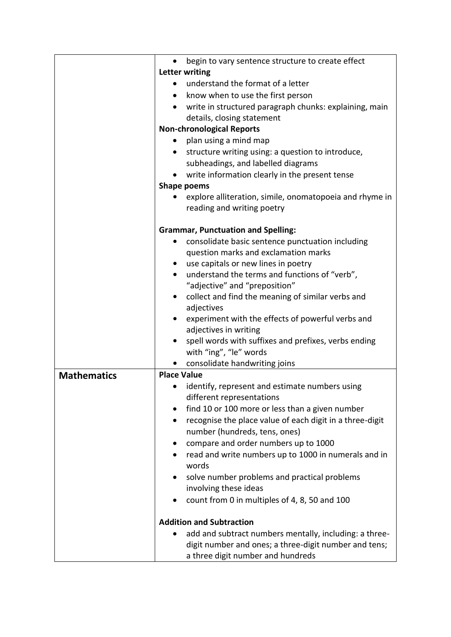|                    | begin to vary sentence structure to create effect<br>$\bullet$      |
|--------------------|---------------------------------------------------------------------|
|                    | Letter writing                                                      |
|                    | understand the format of a letter                                   |
|                    | know when to use the first person<br>$\bullet$                      |
|                    | write in structured paragraph chunks: explaining, main<br>$\bullet$ |
|                    | details, closing statement                                          |
|                    | <b>Non-chronological Reports</b>                                    |
|                    | plan using a mind map<br>$\bullet$                                  |
|                    | structure writing using: a question to introduce,<br>$\bullet$      |
|                    | subheadings, and labelled diagrams                                  |
|                    | write information clearly in the present tense                      |
|                    | Shape poems                                                         |
|                    | explore alliteration, simile, onomatopoeia and rhyme in             |
|                    | reading and writing poetry                                          |
|                    |                                                                     |
|                    | <b>Grammar, Punctuation and Spelling:</b>                           |
|                    | consolidate basic sentence punctuation including<br>$\bullet$       |
|                    | question marks and exclamation marks                                |
|                    | use capitals or new lines in poetry<br>$\bullet$                    |
|                    | understand the terms and functions of "verb",                       |
|                    | "adjective" and "preposition"                                       |
|                    | collect and find the meaning of similar verbs and<br>$\bullet$      |
|                    | adjectives                                                          |
|                    | experiment with the effects of powerful verbs and<br>$\bullet$      |
|                    | adjectives in writing                                               |
|                    | spell words with suffixes and prefixes, verbs ending<br>$\bullet$   |
|                    | with "ing", "le" words                                              |
|                    | consolidate handwriting joins<br>$\bullet$                          |
| <b>Mathematics</b> | <b>Place Value</b>                                                  |
|                    | identify, represent and estimate numbers using                      |
|                    | different representations                                           |
|                    | find 10 or 100 more or less than a given number                     |
|                    | recognise the place value of each digit in a three-digit            |
|                    | number (hundreds, tens, ones)                                       |
|                    | compare and order numbers up to 1000                                |
|                    | read and write numbers up to 1000 in numerals and in                |
|                    | words                                                               |
|                    | solve number problems and practical problems                        |
|                    | involving these ideas                                               |
|                    | count from 0 in multiples of 4, 8, 50 and 100<br>$\bullet$          |
|                    | <b>Addition and Subtraction</b>                                     |
|                    | add and subtract numbers mentally, including: a three-              |
|                    | digit number and ones; a three-digit number and tens;               |
|                    | a three digit number and hundreds                                   |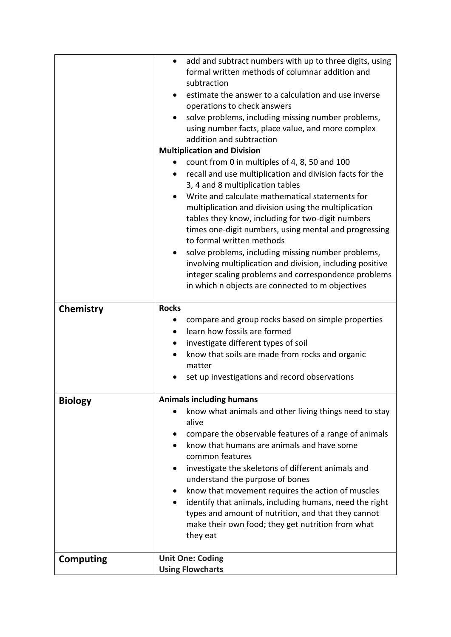|                  | add and subtract numbers with up to three digits, using<br>$\bullet$<br>formal written methods of columnar addition and<br>subtraction<br>estimate the answer to a calculation and use inverse<br>operations to check answers<br>solve problems, including missing number problems,<br>using number facts, place value, and more complex<br>addition and subtraction<br><b>Multiplication and Division</b><br>count from 0 in multiples of 4, 8, 50 and 100<br>recall and use multiplication and division facts for the<br>$\bullet$<br>3, 4 and 8 multiplication tables<br>Write and calculate mathematical statements for<br>$\bullet$<br>multiplication and division using the multiplication<br>tables they know, including for two-digit numbers<br>times one-digit numbers, using mental and progressing<br>to formal written methods<br>solve problems, including missing number problems,<br>$\bullet$<br>involving multiplication and division, including positive |
|------------------|-----------------------------------------------------------------------------------------------------------------------------------------------------------------------------------------------------------------------------------------------------------------------------------------------------------------------------------------------------------------------------------------------------------------------------------------------------------------------------------------------------------------------------------------------------------------------------------------------------------------------------------------------------------------------------------------------------------------------------------------------------------------------------------------------------------------------------------------------------------------------------------------------------------------------------------------------------------------------------|
|                  | integer scaling problems and correspondence problems<br>in which n objects are connected to m objectives                                                                                                                                                                                                                                                                                                                                                                                                                                                                                                                                                                                                                                                                                                                                                                                                                                                                    |
| <b>Chemistry</b> | <b>Rocks</b><br>compare and group rocks based on simple properties<br>learn how fossils are formed<br>investigate different types of soil<br>know that soils are made from rocks and organic<br>matter<br>set up investigations and record observations                                                                                                                                                                                                                                                                                                                                                                                                                                                                                                                                                                                                                                                                                                                     |
| <b>Biology</b>   | <b>Animals including humans</b>                                                                                                                                                                                                                                                                                                                                                                                                                                                                                                                                                                                                                                                                                                                                                                                                                                                                                                                                             |
|                  | know what animals and other living things need to stay<br>alive                                                                                                                                                                                                                                                                                                                                                                                                                                                                                                                                                                                                                                                                                                                                                                                                                                                                                                             |
|                  | compare the observable features of a range of animals<br>know that humans are animals and have some<br>common features<br>investigate the skeletons of different animals and<br>understand the purpose of bones<br>know that movement requires the action of muscles<br>identify that animals, including humans, need the right<br>$\bullet$<br>types and amount of nutrition, and that they cannot<br>make their own food; they get nutrition from what<br>they eat<br><b>Unit One: Coding</b>                                                                                                                                                                                                                                                                                                                                                                                                                                                                             |
| <b>Computing</b> | <b>Using Flowcharts</b>                                                                                                                                                                                                                                                                                                                                                                                                                                                                                                                                                                                                                                                                                                                                                                                                                                                                                                                                                     |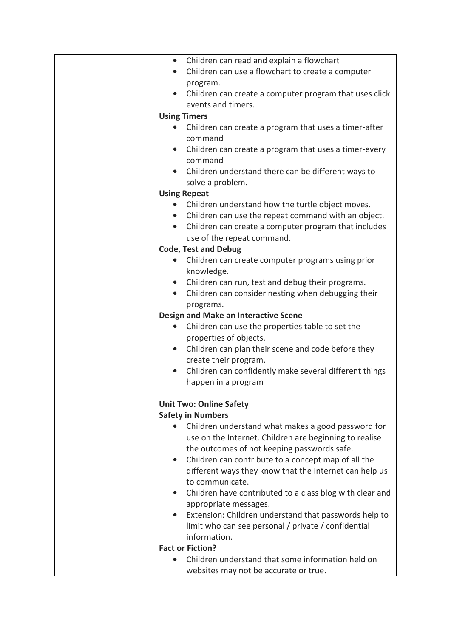| • Children can read and explain a flowchart                           |
|-----------------------------------------------------------------------|
| Children can use a flowchart to create a computer<br>$\bullet$        |
| program.                                                              |
| Children can create a computer program that uses click                |
| events and timers.                                                    |
| <b>Using Timers</b>                                                   |
| Children can create a program that uses a timer-after<br>$\bullet$    |
| command                                                               |
|                                                                       |
| Children can create a program that uses a timer-every                 |
| command                                                               |
| Children understand there can be different ways to                    |
| solve a problem.                                                      |
| <b>Using Repeat</b>                                                   |
| Children understand how the turtle object moves.<br>$\bullet$         |
| • Children can use the repeat command with an object.                 |
| Children can create a computer program that includes<br>$\bullet$     |
| use of the repeat command.                                            |
| <b>Code, Test and Debug</b>                                           |
| Children can create computer programs using prior<br>$\bullet$        |
| knowledge.                                                            |
| Children can run, test and debug their programs.                      |
| Children can consider nesting when debugging their<br>$\bullet$       |
| programs.                                                             |
| Design and Make an Interactive Scene                                  |
| Children can use the properties table to set the<br>$\bullet$         |
| properties of objects.                                                |
| Children can plan their scene and code before they<br>$\bullet$       |
| create their program.                                                 |
|                                                                       |
| Children can confidently make several different things                |
| happen in a program                                                   |
|                                                                       |
| <b>Unit Two: Online Safety</b>                                        |
| <b>Safety in Numbers</b>                                              |
| Children understand what makes a good password for                    |
| use on the Internet. Children are beginning to realise                |
| the outcomes of not keeping passwords safe.                           |
| Children can contribute to a concept map of all the<br>$\bullet$      |
| different ways they know that the Internet can help us                |
| to communicate.                                                       |
| Children have contributed to a class blog with clear and<br>$\bullet$ |
| appropriate messages.                                                 |
| Extension: Children understand that passwords help to                 |
| limit who can see personal / private / confidential                   |
| information.                                                          |
| <b>Fact or Fiction?</b>                                               |
| Children understand that some information held on                     |
|                                                                       |
| websites may not be accurate or true.                                 |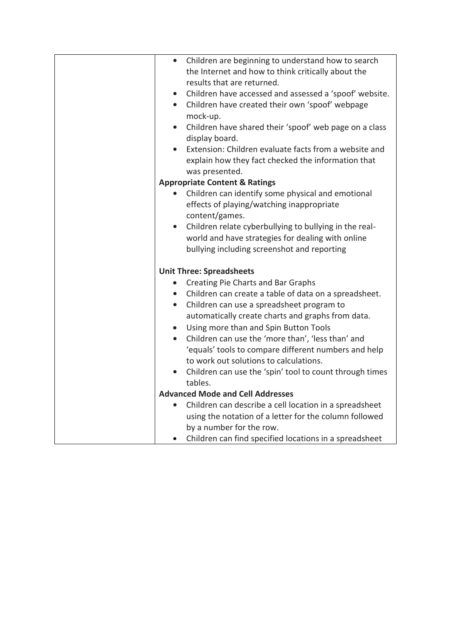| Children are beginning to understand how to search<br>$\bullet$     |
|---------------------------------------------------------------------|
| the Internet and how to think critically about the                  |
| results that are returned.                                          |
| Children have accessed and assessed a 'spoof' website.<br>$\bullet$ |
| Children have created their own 'spoof' webpage<br>$\bullet$        |
|                                                                     |
| mock-up.                                                            |
| Children have shared their 'spoof' web page on a class<br>$\bullet$ |
| display board.                                                      |
| Extension: Children evaluate facts from a website and               |
| explain how they fact checked the information that                  |
| was presented.                                                      |
| <b>Appropriate Content &amp; Ratings</b>                            |
| Children can identify some physical and emotional                   |
| effects of playing/watching inappropriate                           |
| content/games.                                                      |
| Children relate cyberbullying to bullying in the real-<br>$\bullet$ |
| world and have strategies for dealing with online                   |
|                                                                     |
| bullying including screenshot and reporting                         |
| <b>Unit Three: Spreadsheets</b>                                     |
| Creating Pie Charts and Bar Graphs<br>$\bullet$                     |
| • Children can create a table of data on a spreadsheet.             |
|                                                                     |
| Children can use a spreadsheet program to<br>$\bullet$              |
| automatically create charts and graphs from data.                   |
| Using more than and Spin Button Tools<br>$\bullet$                  |
| Children can use the 'more than', 'less than' and<br>$\bullet$      |
| 'equals' tools to compare different numbers and help                |
| to work out solutions to calculations.                              |
| Children can use the 'spin' tool to count through times             |
| tables.                                                             |
| <b>Advanced Mode and Cell Addresses</b>                             |
| Children can describe a cell location in a spreadsheet<br>$\bullet$ |
| using the notation of a letter for the column followed              |
| by a number for the row.                                            |
| Children can find specified locations in a spreadsheet              |
|                                                                     |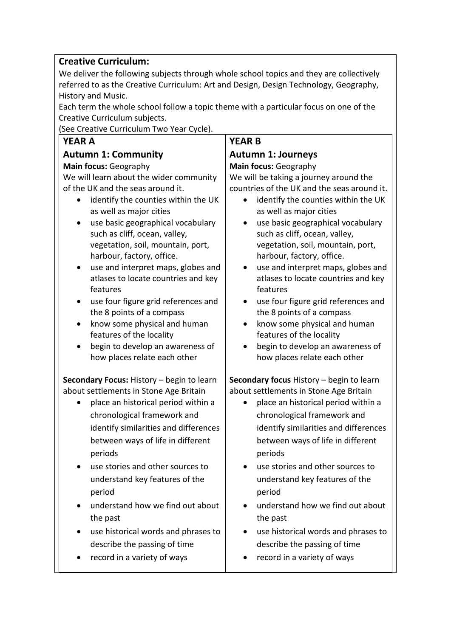## **Creative Curriculum:**

We deliver the following subjects through whole school topics and they are collectively referred to as the Creative Curriculum: Art and Design, Design Technology, Geography, History and Music.

Each term the whole school follow a topic theme with a particular focus on one of the Creative Curriculum subjects.

(See Creative Curriculum Two Year Cycle).

| <b>YEAR A</b><br><b>YEAR B</b><br><b>Autumn 1: Community</b><br><b>Autumn 1: Journeys</b><br>Main focus: Geography<br>Main focus: Geography<br>We will learn about the wider community<br>We will be taking a journey around the<br>countries of the UK and the seas around it.<br>of the UK and the seas around it.<br>identify the counties within the UK<br>identify the counties within the UK<br>$\bullet$<br>as well as major cities<br>as well as major cities<br>use basic geographical vocabulary<br>use basic geographical vocabulary<br>$\bullet$<br>such as cliff, ocean, valley,<br>such as cliff, ocean, valley,<br>vegetation, soil, mountain, port,<br>vegetation, soil, mountain, port,<br>harbour, factory, office.<br>harbour, factory, office.<br>use and interpret maps, globes and<br>use and interpret maps, globes and<br>$\bullet$<br>$\bullet$<br>atlases to locate countries and key<br>atlases to locate countries and key<br>features<br>features<br>use four figure grid references and<br>use four figure grid references and<br>the 8 points of a compass<br>the 8 points of a compass<br>know some physical and human<br>know some physical and human<br>features of the locality<br>features of the locality<br>begin to develop an awareness of<br>begin to develop an awareness of<br>how places relate each other<br>how places relate each other<br>Secondary Focus: History - begin to learn<br>Secondary focus History - begin to learn<br>about settlements in Stone Age Britain<br>about settlements in Stone Age Britain<br>place an historical period within a<br>place an historical period within a<br>chronological framework and<br>chronological framework and<br>identify similarities and differences<br>identify similarities and differences<br>between ways of life in different<br>between ways of life in different<br>periods<br>periods<br>use stories and other sources to<br>use stories and other sources to<br>understand key features of the<br>understand key features of the<br>period<br>period<br>understand how we find out about<br>understand how we find out about | (See Creative Curriculum Two Year Cycle). |  |
|-------------------------------------------------------------------------------------------------------------------------------------------------------------------------------------------------------------------------------------------------------------------------------------------------------------------------------------------------------------------------------------------------------------------------------------------------------------------------------------------------------------------------------------------------------------------------------------------------------------------------------------------------------------------------------------------------------------------------------------------------------------------------------------------------------------------------------------------------------------------------------------------------------------------------------------------------------------------------------------------------------------------------------------------------------------------------------------------------------------------------------------------------------------------------------------------------------------------------------------------------------------------------------------------------------------------------------------------------------------------------------------------------------------------------------------------------------------------------------------------------------------------------------------------------------------------------------------------------------------------------------------------------------------------------------------------------------------------------------------------------------------------------------------------------------------------------------------------------------------------------------------------------------------------------------------------------------------------------------------------------------------------------------------------------------------------------------------------------------------------------------------------|-------------------------------------------|--|
|                                                                                                                                                                                                                                                                                                                                                                                                                                                                                                                                                                                                                                                                                                                                                                                                                                                                                                                                                                                                                                                                                                                                                                                                                                                                                                                                                                                                                                                                                                                                                                                                                                                                                                                                                                                                                                                                                                                                                                                                                                                                                                                                           |                                           |  |
|                                                                                                                                                                                                                                                                                                                                                                                                                                                                                                                                                                                                                                                                                                                                                                                                                                                                                                                                                                                                                                                                                                                                                                                                                                                                                                                                                                                                                                                                                                                                                                                                                                                                                                                                                                                                                                                                                                                                                                                                                                                                                                                                           |                                           |  |
|                                                                                                                                                                                                                                                                                                                                                                                                                                                                                                                                                                                                                                                                                                                                                                                                                                                                                                                                                                                                                                                                                                                                                                                                                                                                                                                                                                                                                                                                                                                                                                                                                                                                                                                                                                                                                                                                                                                                                                                                                                                                                                                                           |                                           |  |
|                                                                                                                                                                                                                                                                                                                                                                                                                                                                                                                                                                                                                                                                                                                                                                                                                                                                                                                                                                                                                                                                                                                                                                                                                                                                                                                                                                                                                                                                                                                                                                                                                                                                                                                                                                                                                                                                                                                                                                                                                                                                                                                                           |                                           |  |
|                                                                                                                                                                                                                                                                                                                                                                                                                                                                                                                                                                                                                                                                                                                                                                                                                                                                                                                                                                                                                                                                                                                                                                                                                                                                                                                                                                                                                                                                                                                                                                                                                                                                                                                                                                                                                                                                                                                                                                                                                                                                                                                                           |                                           |  |
|                                                                                                                                                                                                                                                                                                                                                                                                                                                                                                                                                                                                                                                                                                                                                                                                                                                                                                                                                                                                                                                                                                                                                                                                                                                                                                                                                                                                                                                                                                                                                                                                                                                                                                                                                                                                                                                                                                                                                                                                                                                                                                                                           |                                           |  |
|                                                                                                                                                                                                                                                                                                                                                                                                                                                                                                                                                                                                                                                                                                                                                                                                                                                                                                                                                                                                                                                                                                                                                                                                                                                                                                                                                                                                                                                                                                                                                                                                                                                                                                                                                                                                                                                                                                                                                                                                                                                                                                                                           |                                           |  |
|                                                                                                                                                                                                                                                                                                                                                                                                                                                                                                                                                                                                                                                                                                                                                                                                                                                                                                                                                                                                                                                                                                                                                                                                                                                                                                                                                                                                                                                                                                                                                                                                                                                                                                                                                                                                                                                                                                                                                                                                                                                                                                                                           |                                           |  |
|                                                                                                                                                                                                                                                                                                                                                                                                                                                                                                                                                                                                                                                                                                                                                                                                                                                                                                                                                                                                                                                                                                                                                                                                                                                                                                                                                                                                                                                                                                                                                                                                                                                                                                                                                                                                                                                                                                                                                                                                                                                                                                                                           |                                           |  |
|                                                                                                                                                                                                                                                                                                                                                                                                                                                                                                                                                                                                                                                                                                                                                                                                                                                                                                                                                                                                                                                                                                                                                                                                                                                                                                                                                                                                                                                                                                                                                                                                                                                                                                                                                                                                                                                                                                                                                                                                                                                                                                                                           |                                           |  |
|                                                                                                                                                                                                                                                                                                                                                                                                                                                                                                                                                                                                                                                                                                                                                                                                                                                                                                                                                                                                                                                                                                                                                                                                                                                                                                                                                                                                                                                                                                                                                                                                                                                                                                                                                                                                                                                                                                                                                                                                                                                                                                                                           |                                           |  |
|                                                                                                                                                                                                                                                                                                                                                                                                                                                                                                                                                                                                                                                                                                                                                                                                                                                                                                                                                                                                                                                                                                                                                                                                                                                                                                                                                                                                                                                                                                                                                                                                                                                                                                                                                                                                                                                                                                                                                                                                                                                                                                                                           |                                           |  |
|                                                                                                                                                                                                                                                                                                                                                                                                                                                                                                                                                                                                                                                                                                                                                                                                                                                                                                                                                                                                                                                                                                                                                                                                                                                                                                                                                                                                                                                                                                                                                                                                                                                                                                                                                                                                                                                                                                                                                                                                                                                                                                                                           |                                           |  |
|                                                                                                                                                                                                                                                                                                                                                                                                                                                                                                                                                                                                                                                                                                                                                                                                                                                                                                                                                                                                                                                                                                                                                                                                                                                                                                                                                                                                                                                                                                                                                                                                                                                                                                                                                                                                                                                                                                                                                                                                                                                                                                                                           |                                           |  |
|                                                                                                                                                                                                                                                                                                                                                                                                                                                                                                                                                                                                                                                                                                                                                                                                                                                                                                                                                                                                                                                                                                                                                                                                                                                                                                                                                                                                                                                                                                                                                                                                                                                                                                                                                                                                                                                                                                                                                                                                                                                                                                                                           |                                           |  |
|                                                                                                                                                                                                                                                                                                                                                                                                                                                                                                                                                                                                                                                                                                                                                                                                                                                                                                                                                                                                                                                                                                                                                                                                                                                                                                                                                                                                                                                                                                                                                                                                                                                                                                                                                                                                                                                                                                                                                                                                                                                                                                                                           |                                           |  |
|                                                                                                                                                                                                                                                                                                                                                                                                                                                                                                                                                                                                                                                                                                                                                                                                                                                                                                                                                                                                                                                                                                                                                                                                                                                                                                                                                                                                                                                                                                                                                                                                                                                                                                                                                                                                                                                                                                                                                                                                                                                                                                                                           |                                           |  |
|                                                                                                                                                                                                                                                                                                                                                                                                                                                                                                                                                                                                                                                                                                                                                                                                                                                                                                                                                                                                                                                                                                                                                                                                                                                                                                                                                                                                                                                                                                                                                                                                                                                                                                                                                                                                                                                                                                                                                                                                                                                                                                                                           |                                           |  |
|                                                                                                                                                                                                                                                                                                                                                                                                                                                                                                                                                                                                                                                                                                                                                                                                                                                                                                                                                                                                                                                                                                                                                                                                                                                                                                                                                                                                                                                                                                                                                                                                                                                                                                                                                                                                                                                                                                                                                                                                                                                                                                                                           |                                           |  |
| the past<br>the past<br>use historical words and phrases to<br>use historical words and phrases to<br>describe the passing of time<br>describe the passing of time<br>record in a variety of ways<br>record in a variety of ways                                                                                                                                                                                                                                                                                                                                                                                                                                                                                                                                                                                                                                                                                                                                                                                                                                                                                                                                                                                                                                                                                                                                                                                                                                                                                                                                                                                                                                                                                                                                                                                                                                                                                                                                                                                                                                                                                                          |                                           |  |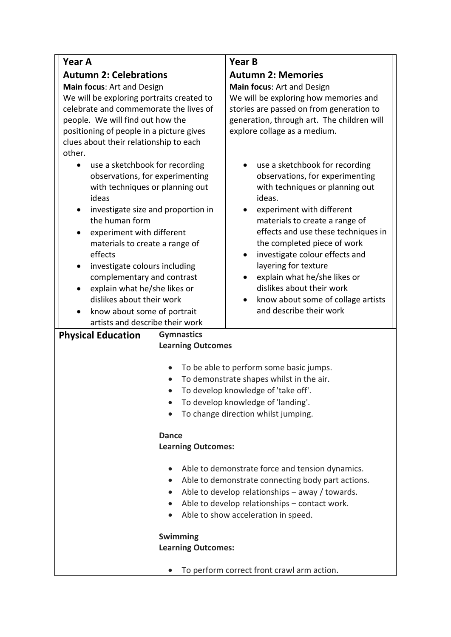| Year A                                                                                                                                                                                                                                                                                                                                        |                                       | <b>Year B</b>                                                                                                                                                                                                                                                                                                                                                                   |
|-----------------------------------------------------------------------------------------------------------------------------------------------------------------------------------------------------------------------------------------------------------------------------------------------------------------------------------------------|---------------------------------------|---------------------------------------------------------------------------------------------------------------------------------------------------------------------------------------------------------------------------------------------------------------------------------------------------------------------------------------------------------------------------------|
|                                                                                                                                                                                                                                                                                                                                               |                                       |                                                                                                                                                                                                                                                                                                                                                                                 |
| <b>Autumn 2: Celebrations</b>                                                                                                                                                                                                                                                                                                                 |                                       | <b>Autumn 2: Memories</b>                                                                                                                                                                                                                                                                                                                                                       |
| Main focus: Art and Design<br>We will be exploring portraits created to                                                                                                                                                                                                                                                                       |                                       | Main focus: Art and Design<br>We will be exploring how memories and                                                                                                                                                                                                                                                                                                             |
| celebrate and commemorate the lives of                                                                                                                                                                                                                                                                                                        |                                       | stories are passed on from generation to                                                                                                                                                                                                                                                                                                                                        |
| people. We will find out how the                                                                                                                                                                                                                                                                                                              |                                       | generation, through art. The children will                                                                                                                                                                                                                                                                                                                                      |
| positioning of people in a picture gives                                                                                                                                                                                                                                                                                                      |                                       | explore collage as a medium.                                                                                                                                                                                                                                                                                                                                                    |
| clues about their relationship to each                                                                                                                                                                                                                                                                                                        |                                       |                                                                                                                                                                                                                                                                                                                                                                                 |
| other.                                                                                                                                                                                                                                                                                                                                        |                                       |                                                                                                                                                                                                                                                                                                                                                                                 |
| use a sketchbook for recording<br>۰<br>observations, for experimenting<br>with techniques or planning out<br>ideas<br>investigate size and proportion in<br>$\bullet$<br>the human form<br>experiment with different<br>$\bullet$<br>materials to create a range of<br>effects<br>investigate colours including<br>complementary and contrast |                                       | use a sketchbook for recording<br>observations, for experimenting<br>with techniques or planning out<br>ideas.<br>experiment with different<br>٠<br>materials to create a range of<br>effects and use these techniques in<br>the completed piece of work<br>investigate colour effects and<br>layering for texture<br>explain what he/she likes or<br>dislikes about their work |
| explain what he/she likes or<br>$\bullet$                                                                                                                                                                                                                                                                                                     |                                       |                                                                                                                                                                                                                                                                                                                                                                                 |
| dislikes about their work                                                                                                                                                                                                                                                                                                                     |                                       | know about some of collage artists<br>and describe their work                                                                                                                                                                                                                                                                                                                   |
| know about some of portrait<br>$\bullet$<br>artists and describe their work                                                                                                                                                                                                                                                                   |                                       |                                                                                                                                                                                                                                                                                                                                                                                 |
| <b>Physical Education</b>                                                                                                                                                                                                                                                                                                                     | <b>Gymnastics</b>                     |                                                                                                                                                                                                                                                                                                                                                                                 |
|                                                                                                                                                                                                                                                                                                                                               | <b>Learning Outcomes</b>              |                                                                                                                                                                                                                                                                                                                                                                                 |
|                                                                                                                                                                                                                                                                                                                                               |                                       | To be able to perform some basic jumps.<br>To demonstrate shapes whilst in the air.<br>To develop knowledge of 'take off'.<br>To develop knowledge of 'landing'.<br>To change direction whilst jumping.                                                                                                                                                                         |
|                                                                                                                                                                                                                                                                                                                                               | <b>Dance</b>                          |                                                                                                                                                                                                                                                                                                                                                                                 |
|                                                                                                                                                                                                                                                                                                                                               | <b>Learning Outcomes:</b>             |                                                                                                                                                                                                                                                                                                                                                                                 |
|                                                                                                                                                                                                                                                                                                                                               |                                       |                                                                                                                                                                                                                                                                                                                                                                                 |
|                                                                                                                                                                                                                                                                                                                                               |                                       | Able to demonstrate force and tension dynamics.                                                                                                                                                                                                                                                                                                                                 |
|                                                                                                                                                                                                                                                                                                                                               |                                       | Able to demonstrate connecting body part actions.                                                                                                                                                                                                                                                                                                                               |
|                                                                                                                                                                                                                                                                                                                                               |                                       | Able to develop relationships - away / towards.                                                                                                                                                                                                                                                                                                                                 |
|                                                                                                                                                                                                                                                                                                                                               |                                       | Able to develop relationships - contact work.                                                                                                                                                                                                                                                                                                                                   |
|                                                                                                                                                                                                                                                                                                                                               |                                       | Able to show acceleration in speed.                                                                                                                                                                                                                                                                                                                                             |
|                                                                                                                                                                                                                                                                                                                                               |                                       |                                                                                                                                                                                                                                                                                                                                                                                 |
|                                                                                                                                                                                                                                                                                                                                               | Swimming<br><b>Learning Outcomes:</b> |                                                                                                                                                                                                                                                                                                                                                                                 |
|                                                                                                                                                                                                                                                                                                                                               |                                       |                                                                                                                                                                                                                                                                                                                                                                                 |
|                                                                                                                                                                                                                                                                                                                                               |                                       | To perform correct front crawl arm action.                                                                                                                                                                                                                                                                                                                                      |